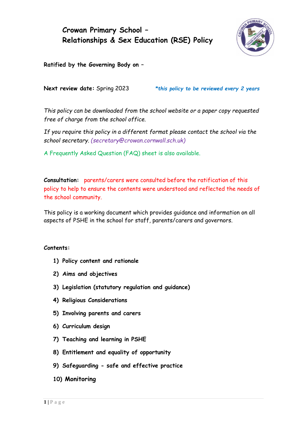# **Crowan Primary School – Relationships & Sex Education (RSE) Policy**



**Ratified by the Governing Body on –**

**Next review date:** Spring 2023 *\*this policy to be reviewed every 2 years*

*This policy can be downloaded from the school website or a paper copy requested free of charge from the school office.*

*If you require this policy in a different format please contact the school via the school secretary. (secretary@crowan.cornwall.sch.uk)* 

A Frequently Asked Question (FAQ) sheet is also available.

**Consultation:** parents/carers were consulted before the ratification of this policy to help to ensure the contents were understood and reflected the needs of the school community.

This policy is a working document which provides guidance and information on all aspects of PSHE in the school for staff, parents/carers and governors.

#### **Contents:**

- **1) Policy content and rationale**
- **2) Aims and objectives**
- **3) Legislation (statutory regulation and guidance)**
- **4) Religious Considerations**
- **5) Involving parents and carers**
- **6) Curriculum design**
- **7) Teaching and learning in PSHE**
- **8) Entitlement and equality of opportunity**
- **9) Safeguarding - safe and effective practice**
- **10) Monitoring**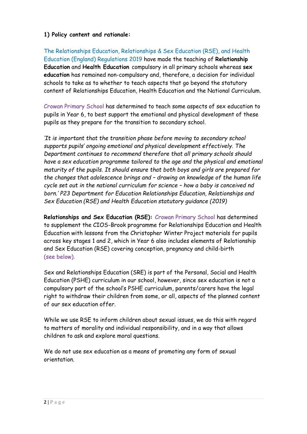#### **1) Policy content and rationale:**

The Relationships Education, Relationships & Sex Education (RSE), and Health Education (England) Regulations 2019 have made the teaching of **Relationship Education** and **Health Education** compulsory in all primary schools whereas **sex education** has remained non-compulsory and, therefore, a decision for individual schools to take as to whether to teach aspects that go beyond the statutory content of Relationships Education, Health Education and the National Curriculum.

Crowan Primary School has determined to teach some aspects of sex education to pupils in Year 6, to best support the emotional and physical development of these pupils as they prepare for the transition to secondary school.

*'It is important that the transition phase before moving to secondary school supports pupils' ongoing emotional and physical development effectively. The Department continues to recommend therefore that all primary schools should have a sex education programme tailored to the age and the physical and emotional maturity of the pupils. It should ensure that both boys and girls are prepared for the changes that adolescence brings and – drawing on knowledge of the human life cycle set out in the national curriculum for science – how a baby is conceived nd born.' P23 Department for Education Relationships Education, Relationships and Sex Education (RSE) and Health Education statutory guidance (2019)*

**Relationships and Sex Education (RSE):** Crowan Primary School has determined to supplement the CIOS-Brook programme for Relationships Education and Health Education with lessons from the Christopher Winter Project materials for pupils across key stages 1 and 2, which in Year 6 also includes elements of Relationship and Sex Education (RSE) covering conception, pregnancy and child-birth (see below).

Sex and Relationships Education (SRE) is part of the Personal, Social and Health Education (PSHE) curriculum in our school, however, since sex education is not a compulsory part of the school's PSHE curriculum, parents/carers have the legal right to withdraw their children from some, or all, aspects of the planned content of our sex education offer.

While we use RSE to inform children about sexual issues, we do this with regard to matters of morality and individual responsibility, and in a way that allows children to ask and explore moral questions.

We do not use sex education as a means of promoting any form of sexual orientation.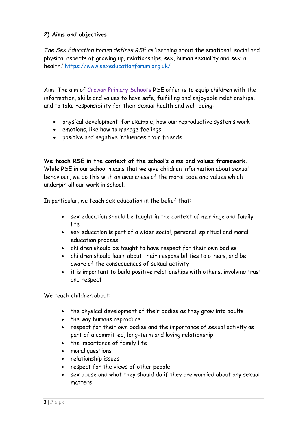# **2) Aims and objectives:**

*The Sex Education Forum defines RSE as* 'learning about the emotional, social and physical aspects of growing up, relationships, sex, human sexuality and sexual health.' <https://www.sexeducationforum.org.uk/>

Aim: The aim of Crowan Primary School's RSE offer is to equip children with the information, skills and values to have safe, fulfilling and enjoyable relationships, and to take responsibility for their sexual health and well-being:

- physical development, for example, how our reproductive systems work
- emotions, like how to manage feelings
- positive and negative influences from friends

**We teach RSE in the context of the school's aims and values framework.** While RSE in our school means that we give children information about sexual behaviour, we do this with an awareness of the moral code and values which underpin all our work in school.

In particular, we teach sex education in the belief that:

- sex education should be taught in the context of marriage and family life
- sex education is part of a wider social, personal, spiritual and moral education process
- children should be taught to have respect for their own bodies
- children should learn about their responsibilities to others, and be aware of the consequences of sexual activity
- it is important to build positive relationships with others, involving trust and respect

We teach children about:

- the physical development of their bodies as they grow into adults
- the way humans reproduce
- respect for their own bodies and the importance of sexual activity as part of a committed, long-term and loving relationship
- the importance of family life
- moral questions
- relationship issues
- respect for the views of other people
- sex abuse and what they should do if they are worried about any sexual matters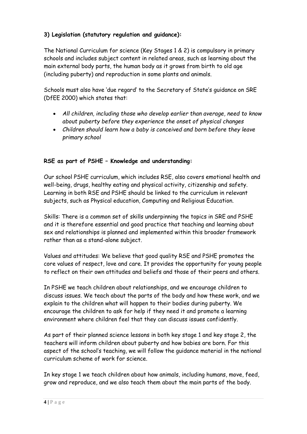# **3) Legislation (statutory regulation and guidance):**

The National Curriculum for science (Key Stages 1 & 2) is compulsory in primary schools and includes subject content in related areas, such as learning about the main external body parts, the human body as it grows from birth to old age (including puberty) and reproduction in some plants and animals.

Schools must also have 'due regard' to the Secretary of State's guidance on SRE (DfEE 2000) which states that:

- *All children, including those who develop earlier than average, need to know about puberty before they experience the onset of physical changes*
- *Children should learn how a baby is conceived and born before they leave primary school*

# **RSE as part of PSHE – Knowledge and understanding:**

Our school PSHE curriculum, which includes RSE, also covers emotional health and well-being, drugs, healthy eating and physical activity, citizenship and safety. Learning in both RSE and PSHE should be linked to the curriculum in relevant subjects, such as Physical education, Computing and Religious Education.

Skills: There is a common set of skills underpinning the topics in SRE and PSHE and it is therefore essential and good practice that teaching and learning about sex and relationships is planned and implemented within this broader framework rather than as a stand-alone subject.

Values and attitudes: We believe that good quality RSE and PSHE promotes the core values of respect, love and care. It provides the opportunity for young people to reflect on their own attitudes and beliefs and those of their peers and others.

In PSHE we teach children about relationships, and we encourage children to discuss issues. We teach about the parts of the body and how these work, and we explain to the children what will happen to their bodies during puberty. We encourage the children to ask for help if they need it and promote a learning environment where children feel that they can discuss issues confidently.

As part of their planned science lessons in both key stage 1 and key stage 2, the teachers will inform children about puberty and how babies are born. For this aspect of the school's teaching, we will follow the guidance material in the national curriculum scheme of work for science.

In key stage 1 we teach children about how animals, including humans, move, feed, grow and reproduce, and we also teach them about the main parts of the body.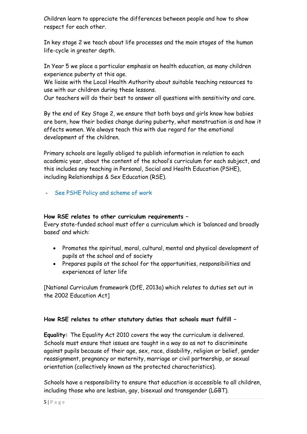Children learn to appreciate the differences between people and how to show respect for each other.

In key stage 2 we teach about life processes and the main stages of the human life-cycle in greater depth.

In Year 5 we place a particular emphasis on health education, as many children experience puberty at this age.

We liaise with the Local Health Authority about suitable teaching resources to use with our children during these lessons.

Our teachers will do their best to answer all questions with sensitivity and care.

By the end of Key Stage 2, we ensure that both boys and girls know how babies are born, how their bodies change during puberty, what menstruation is and how it affects women. We always teach this with due regard for the emotional development of the children.

Primary schools are legally obliged to publish information in relation to each academic year, about the content of the school's curriculum for each subject, and this includes any teaching in Personal, Social and Health Education (PSHE), including Relationships & Sex Education (RSE).

- See PSHE Policy and scheme of work

#### **How RSE relates to other curriculum requirements –**

Every state-funded school must offer a curriculum which is 'balanced and broadly based' and which:

- Promotes the spiritual, moral, cultural, mental and physical development of pupils at the school and of society
- Prepares pupils at the school for the opportunities, responsibilities and experiences of later life

[National Curriculum framework (DfE, 2013a) which relates to duties set out in the 2002 Education Act]

# **How RSE relates to other statutory duties that schools must fulfill –**

**Equality:** The Equality Act 2010 covers the way the curriculum is delivered. Schools must ensure that issues are taught in a way so as not to discriminate against pupils because of their age, sex, race, disability, religion or belief, gender reassignment, pregnancy or maternity, marriage or civil partnership, or sexual orientation (collectively known as the protected characteristics).

Schools have a responsibility to ensure that education is accessible to all children, including those who are lesbian, gay, bisexual and transgender (LGBT).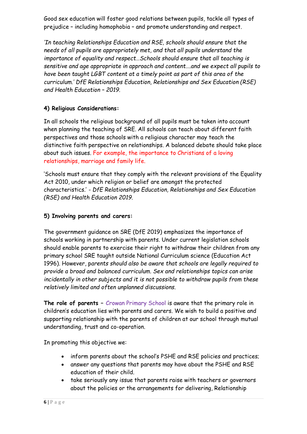Good sex education will foster good relations between pupils, tackle all types of prejudice – including homophobia – and promote understanding and respect.

*'In teaching Relationships Education and RSE, schools should ensure that the needs of all pupils are appropriately met, and that all pupils understand the importance of equality and respect…Schools should ensure that all teaching is sensitive and age appropriate in approach and content….and we expect all pupils to have been taught LGBT content at a timely point as part of this area of the curriculum.' DfE Relationships Education, Relationships and Sex Education (RSE) and Health Education – 2019.*

# **4) Religious Considerations:**

In all schools the religious background of all pupils must be taken into account when planning the teaching of SRE. All schools can teach about different faith perspectives and those schools with a religious character may teach the distinctive faith perspective on relationships. A balanced debate should take place about such issues. For example, the importance to Christians of a loving relationships, marriage and family life.

'Schools must ensure that they comply with the relevant provisions of the Equality Act 2010, under which religion or belief are amongst the protected characteristics.' *- DfE Relationships Education, Relationships and Sex Education (RSE) and Health Education 2019.*

# **5) Involving parents and carers:**

The government guidance on SRE (DfE 2019) emphasizes the importance of schools working in partnership with parents. Under current legislation schools should enable parents to exercise their right to withdraw their children from any primary school SRE taught outside National Curriculum science (Education Act 1996). However, p*arents should also be aware that schools are legally required to provide a broad and balanced curriculum. Sex and relationships topics can arise incidentally in other subjects and it is not possible to withdraw pupils from these relatively limited and often unplanned discussions.*

**The role of parents –** Crowan Primary School is aware that the primary role in children's education lies with parents and carers. We wish to build a positive and supporting relationship with the parents of children at our school through mutual understanding, trust and co-operation.

In promoting this objective we:

- inform parents about the school's PSHE and RSE policies and practices;
- answer any questions that parents may have about the PSHE and RSE education of their child.
- take seriously any issue that parents raise with teachers or governors about the policies or the arrangements for delivering, Relationship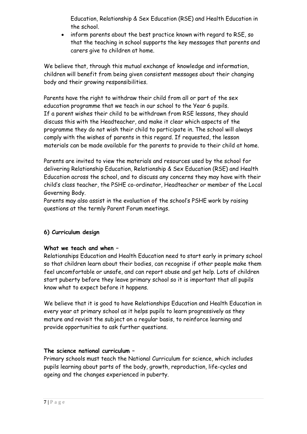Education, Relationship & Sex Education (RSE) and Health Education in the school.

• inform parents about the best practice known with regard to RSE, so that the teaching in school supports the key messages that parents and carers give to children at home.

We believe that, through this mutual exchange of knowledge and information, children will benefit from being given consistent messages about their changing body and their growing responsibilities.

Parents have the right to withdraw their child from all or part of the sex education programme that we teach in our school to the Year 6 pupils. If a parent wishes their child to be withdrawn from RSE lessons, they should discuss this with the Headteacher, and make it clear which aspects of the programme they do not wish their child to participate in. The school will always comply with the wishes of parents in this regard. If requested, the lesson materials can be made available for the parents to provide to their child at home.

Parents are invited to view the materials and resources used by the school for delivering Relationship Education, Relationship & Sex Education (RSE) and Health Education across the school, and to discuss any concerns they may have with their child's class teacher, the PSHE co-ordinator, Headteacher or member of the Local Governing Body.

Parents may also assist in the evaluation of the school's PSHE work by raising questions at the termly Parent Forum meetings.

# **6) Curriculum design**

# **What we teach and when –**

Relationships Education and Health Education need to start early in primary school so that children learn about their bodies, can recognise if other people make them feel uncomfortable or unsafe, and can report abuse and get help. Lots of children start puberty before they leave primary school so it is important that all pupils know what to expect before it happens.

We believe that it is good to have Relationships Education and Health Education in every year at primary school as it helps pupils to learn progressively as they mature and revisit the subject on a regular basis, to reinforce learning and provide opportunities to ask further questions.

# **The science national curriculum –**

Primary schools must teach the National Curriculum for science, which includes pupils learning about parts of the body, growth, reproduction, life-cycles and ageing and the changes experienced in puberty.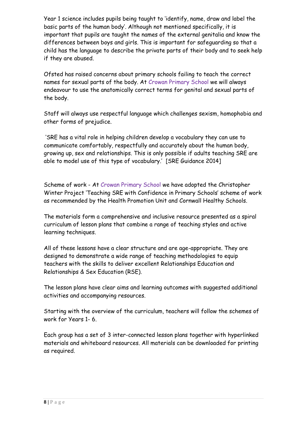Year 1 science includes pupils being taught to 'identify, name, draw and label the basic parts of the human body'. Although not mentioned specifically, it is important that pupils are taught the names of the external genitalia and know the differences between boys and girls. This is important for safeguarding so that a child has the language to describe the private parts of their body and to seek help if they are abused.

Ofsted has raised concerns about primary schools failing to teach the correct names for sexual parts of the body. At Crowan Primary School we will always endeavour to use the anatomically correct terms for genital and sexual parts of the body.

Staff will always use respectful language which challenges sexism, homophobia and other forms of prejudice.

'SRE has a vital role in helping children develop a vocabulary they can use to communicate comfortably, respectfully and accurately about the human body, growing up, sex and relationships. This is only possible if adults teaching SRE are able to model use of this type of vocabulary.' [SRE Guidance 2014]

Scheme of work - At Crowan Primary School we have adopted the Christopher Winter Project 'Teaching SRE with Confidence in Primary Schools' scheme of work as recommended by the Health Promotion Unit and Cornwall Healthy Schools.

The materials form a comprehensive and inclusive resource presented as a spiral curriculum of lesson plans that combine a range of teaching styles and active learning techniques.

All of these lessons have a clear structure and are age-appropriate. They are designed to demonstrate a wide range of teaching methodologies to equip teachers with the skills to deliver excellent Relationships Education and Relationships & Sex Education (RSE).

The lesson plans have clear aims and learning outcomes with suggested additional activities and accompanying resources.

Starting with the overview of the curriculum, teachers will follow the schemes of work for Years 1- 6.

Each group has a set of 3 inter-connected lesson plans together with hyperlinked materials and whiteboard resources. All materials can be downloaded for printing as required.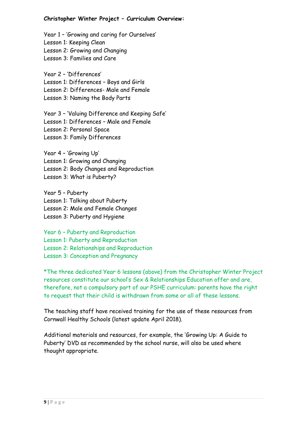#### **Christopher Winter Project – Curriculum Overview:**

Year 1 – 'Growing and caring for Ourselves' Lesson 1: Keeping Clean Lesson 2: Growing and Changing Lesson 3: Families and Care

Year 2 – 'Differences' Lesson 1: Differences – Boys and Girls Lesson 2: Differences- Male and Female Lesson 3: Naming the Body Parts

Year 3 – 'Valuing Difference and Keeping Safe' Lesson 1: Differences – Male and Female Lesson 2: Personal Space Lesson 3: Family Differences

Year 4 – 'Growing Up' Lesson 1: Growing and Changing Lesson 2: Body Changes and Reproduction Lesson 3: What is Puberty?

Year 5 – Puberty Lesson 1: Talking about Puberty Lesson 2: Male and Female Changes Lesson 3: Puberty and Hygiene

Year 6 – Puberty and Reproduction Lesson 1: Puberty and Reproduction Lesson 2: Relationships and Reproduction Lesson 3: Conception and Pregnancy

\*The three dedicated Year 6 lessons (above) from the Christopher Winter Project resources constitute our school's Sex & Relationships Education offer and are, therefore, not a compulsory part of our PSHE curriculum: parents have the right to request that their child is withdrawn from some or all of these lessons.

The teaching staff have received training for the use of these resources from Cornwall Healthy Schools (latest update April 2018).

Additional materials and resources, for example, the 'Growing Up: A Guide to Puberty' DVD as recommended by the school nurse, will also be used where thought appropriate.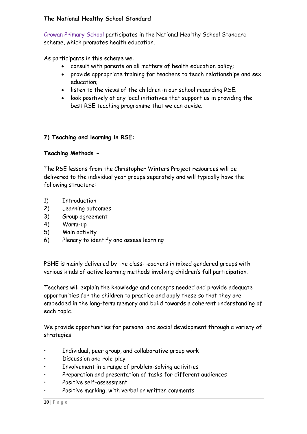#### **The National Healthy School Standard**

Crowan Primary School participates in the National Healthy School Standard scheme, which promotes health education.

As participants in this scheme we:

- consult with parents on all matters of health education policy;
- provide appropriate training for teachers to teach relationships and sex education;
- listen to the views of the children in our school regarding RSE;
- look positively at any local initiatives that support us in providing the best RSE teaching programme that we can devise.

# **7) Teaching and learning in RSE:**

#### **Teaching Methods -**

The RSE lessons from the Christopher Winters Project resources will be delivered to the individual year groups separately and will typically have the following structure:

- 1) Introduction
- 2) Learning outcomes
- 3) Group agreement
- 4) Warm-up
- 5) Main activity
- 6) Plenary to identify and assess learning

PSHE is mainly delivered by the class-teachers in mixed gendered groups with various kinds of active learning methods involving children's full participation.

Teachers will explain the knowledge and concepts needed and provide adequate opportunities for the children to practice and apply these so that they are embedded in the long-term memory and build towards a coherent understanding of each topic.

We provide opportunities for personal and social development through a variety of strategies:

- Individual, peer group, and collaborative group work
- Discussion and role-play
- Involvement in a range of problem-solving activities
- Preparation and presentation of tasks for different audiences
- Positive self-assessment
- Positive marking, with verbal or written comments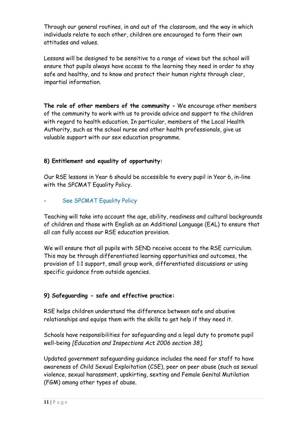Through our general routines, in and out of the classroom, and the way in which individuals relate to each other, children are encouraged to form their own attitudes and values.

Lessons will be designed to be sensitive to a range of views but the school will ensure that pupils always have access to the learning they need in order to stay safe and healthy, and to know and protect their human rights through clear, impartial information.

**The role of other members of the community -** We encourage other members of the community to work with us to provide advice and support to the children with regard to health education. In particular, members of the Local Health Authority, such as the school nurse and other health professionals, give us valuable support with our sex education programme.

# **8) Entitlement and equality of opportunity:**

Our RSE lessons in Year 6 should be accessible to every pupil in Year 6, in-line with the SPCMAT Equality Policy.

# See SPCMAT Equality Policy

Teaching will take into account the age, ability, readiness and cultural backgrounds of children and those with English as an Additional Language (EAL) to ensure that all can fully access our RSE education provision.

We will ensure that all pupils with SEND receive access to the RSE curriculum. This may be through differentiated learning opportunities and outcomes, the provision of 1:1 support, small group work, differentiated discussions or using specific guidance from outside agencies.

# **9) Safeguarding - safe and effective practice:**

RSE helps children understand the difference between safe and abusive relationships and equips them with the skills to get help if they need it.

Schools have responsibilities for safeguarding and a legal duty to promote pupil well-being *[Education and Inspections Act 2006 section 38].*

Updated government safeguarding guidance includes the need for staff to have awareness of Child Sexual Exploitation (CSE), peer on peer abuse (such as sexual violence, sexual harassment, upskirting, sexting and Female Genital Mutilation (FGM) among other types of abuse.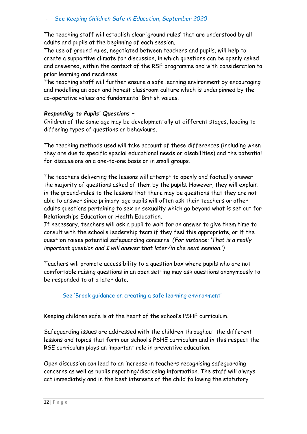The teaching staff will establish clear 'ground rules' that are understood by all adults and pupils at the beginning of each session.

The use of ground rules, negotiated between teachers and pupils, will help to create a supportive climate for discussion, in which questions can be openly asked and answered, within the context of the RSE programme and with consideration to prior learning and readiness.

The teaching staff will further ensure a safe learning environment by encouraging and modelling an open and honest classroom culture which is underpinned by the co-operative values and fundamental British values.

#### *Responding to Pupils' Questions –*

Children of the same age may be developmentally at different stages, leading to differing types of questions or behaviours.

The teaching methods used will take account of these differences (including when they are due to specific special educational needs or disabilities) and the potential for discussions on a one-to-one basis or in small groups.

The teachers delivering the lessons will attempt to openly and factually answer the majority of questions asked of them by the pupils. However, they will explain in the ground-rules to the lessons that there may be questions that they are not able to answer since primary-age pupils will often ask their teachers or other adults questions pertaining to sex or sexuality which go beyond what is set out for Relationships Education or Health Education.

If necessary, teachers will ask a pupil to wait for an answer to give them time to consult with the school's leadership team if they feel this appropriate, or if the question raises potential safeguarding concerns. *(For instance: 'That is a really important question and I will answer that later/in the next session.')* 

Teachers will promote accessibility to a question box where pupils who are not comfortable raising questions in an open setting may ask questions anonymously to be responded to at a later date.

# See 'Brook guidance on creating a safe learning environment'

Keeping children safe is at the heart of the school's PSHE curriculum.

Safeguarding issues are addressed with the children throughout the different lessons and topics that form our school's PSHE curriculum and in this respect the RSE curriculum plays an important role in preventive education.

Open discussion can lead to an increase in teachers recognising safeguarding concerns as well as pupils reporting/disclosing information. The staff will always act immediately and in the best interests of the child following the statutory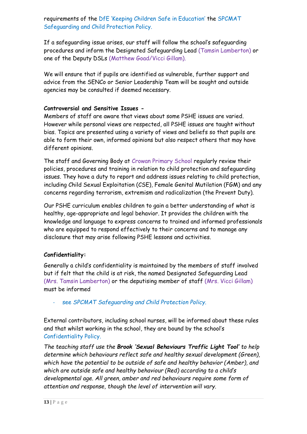requirements of the DfE 'Keeping Children Safe in Education' the SPCMAT Safeguarding and Child Protection Policy.

If a safeguarding issue arises, our staff will follow the school's safeguarding procedures and inform the Designated Safeguarding Lead (Tamsin Lamberton) or one of the Deputy DSLs (Matthew Goad/Vicci Gillam).

We will ensure that if pupils are identified as vulnerable, further support and advice from the SENCo or Senior Leadership Team will be sought and outside agencies may be consulted if deemed necessary.

# **Controversial and Sensitive Issues -**

Members of staff are aware that views about some PSHE issues are varied. However while personal views are respected, all PSHE issues are taught without bias. Topics are presented using a variety of views and beliefs so that pupils are able to form their own, informed opinions but also respect others that may have different opinions.

The staff and Governing Body at Crowan Primary School regularly review their policies, procedures and training in relation to child protection and safeguarding issues. They have a duty to report and address issues relating to child protection, including Child Sexual Exploitation (CSE), Female Genital Mutilation (FGM) and any concerns regarding terrorism, extremism and radicalization (the Prevent Duty).

Our PSHE curriculum enables children to gain a better understanding of what is healthy, age-appropriate and legal behavior. It provides the children with the knowledge and language to express concerns to trained and informed professionals who are equipped to respond effectively to their concerns and to manage any disclosure that may arise following PSHE lessons and activities.

# **Confidentiality:**

Generally a child's confidentiality is maintained by the members of staff involved but if felt that the child is at risk, the named Designated Safeguarding Lead (Mrs. Tamsin Lamberton) or the deputising member of staff (Mrs. Vicci Gillam) must be informed

- see *SPCMAT Safeguarding and Child Protection Policy.*

External contributors, including school nurses, will be informed about these rules and that whilst working in the school, they are bound by the school's Confidentiality Policy.

*The teaching staff use the Brook 'Sexual Behaviours Traffic Light Tool' to help determine which behaviours reflect safe and healthy sexual development (Green), which have the potential to be outside of safe and healthy behavior (Amber), and which are outside safe and healthy behaviour (Red) according to a child's developmental age. All green, amber and red behaviours require some form of attention and response, though the level of intervention will vary.*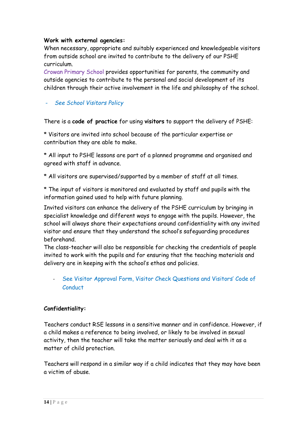#### **Work with external agencies:**

When necessary, appropriate and suitably experienced and knowledgeable visitors from outside school are invited to contribute to the delivery of our PSHE curriculum.

Crowan Primary School provides opportunities for parents, the community and outside agencies to contribute to the personal and social development of its children through their active involvement in the life and philosophy of the school.

# - *See School Visitors Policy*

There is a **code of practice** for using **visitors** to support the delivery of PSHE:

\* Visitors are invited into school because of the particular expertise or contribution they are able to make.

\* All input to PSHE lessons are part of a planned programme and organised and agreed with staff in advance.

\* All visitors are supervised/supported by a member of staff at all times.

\* The input of visitors is monitored and evaluated by staff and pupils with the information gained used to help with future planning.

Invited visitors can enhance the delivery of the PSHE curriculum by bringing in specialist knowledge and different ways to engage with the pupils. However, the school will always share their expectations around confidentiality with any invited visitor and ensure that they understand the school's safeguarding procedures beforehand.

The class-teacher will also be responsible for checking the credentials of people invited to work with the pupils and for ensuring that the teaching materials and delivery are in keeping with the school's ethos and policies.

See Visitor Approval Form, Visitor Check Questions and Visitors' Code of **Conduct** 

# **Confidentiality:**

Teachers conduct RSE lessons in a sensitive manner and in confidence. However, if a child makes a reference to being involved, or likely to be involved in sexual activity, then the teacher will take the matter seriously and deal with it as a matter of child protection.

Teachers will respond in a similar way if a child indicates that they may have been a victim of abuse.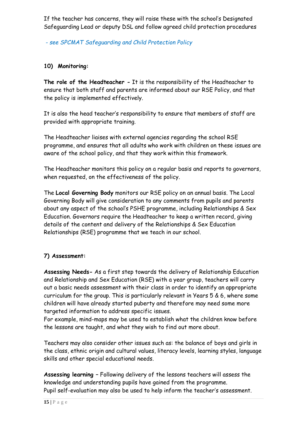If the teacher has concerns, they will raise these with the school's Designated Safeguarding Lead or deputy DSL and follow agreed child protection procedures

*- see SPCMAT Safeguarding and Child Protection Policy*

# **10) Monitoring:**

**The role of the Headteacher -** It is the responsibility of the Headteacher to ensure that both staff and parents are informed about our RSE Policy, and that the policy is implemented effectively.

It is also the head teacher's responsibility to ensure that members of staff are provided with appropriate training.

The Headteacher liaises with external agencies regarding the school RSE programme, and ensures that all adults who work with children on these issues are aware of the school policy, and that they work within this framework.

The Headteacher monitors this policy on a regular basis and reports to governors, when requested, on the effectiveness of the policy.

The **Local Governing Body** monitors our RSE policy on an annual basis. The Local Governing Body will give consideration to any comments from pupils and parents about any aspect of the school's PSHE programme, including Relationships & Sex Education. Governors require the Headteacher to keep a written record, giving details of the content and delivery of the Relationships & Sex Education Relationships (RSE) programme that we teach in our school.

# **7) Assessment:**

**Assessing Needs-** As a first step towards the delivery of Relationship Education and Relationship and Sex Education (RSE) with a year group, teachers will carry out a basic needs assessment with their class in order to identify an appropriate curriculum for the group. This is particularly relevant in Years 5 & 6, where some children will have already started puberty and therefore may need some more targeted information to address specific issues.

For example, mind-maps may be used to establish what the children know before the lessons are taught, and what they wish to find out more about.

Teachers may also consider other issues such as: the balance of boys and girls in the class, ethnic origin and cultural values, literacy levels, learning styles, language skills and other special educational needs.

**Assessing learning –** Following delivery of the lessons teachers will assess the knowledge and understanding pupils have gained from the programme. Pupil self-evaluation may also be used to help inform the teacher's assessment.